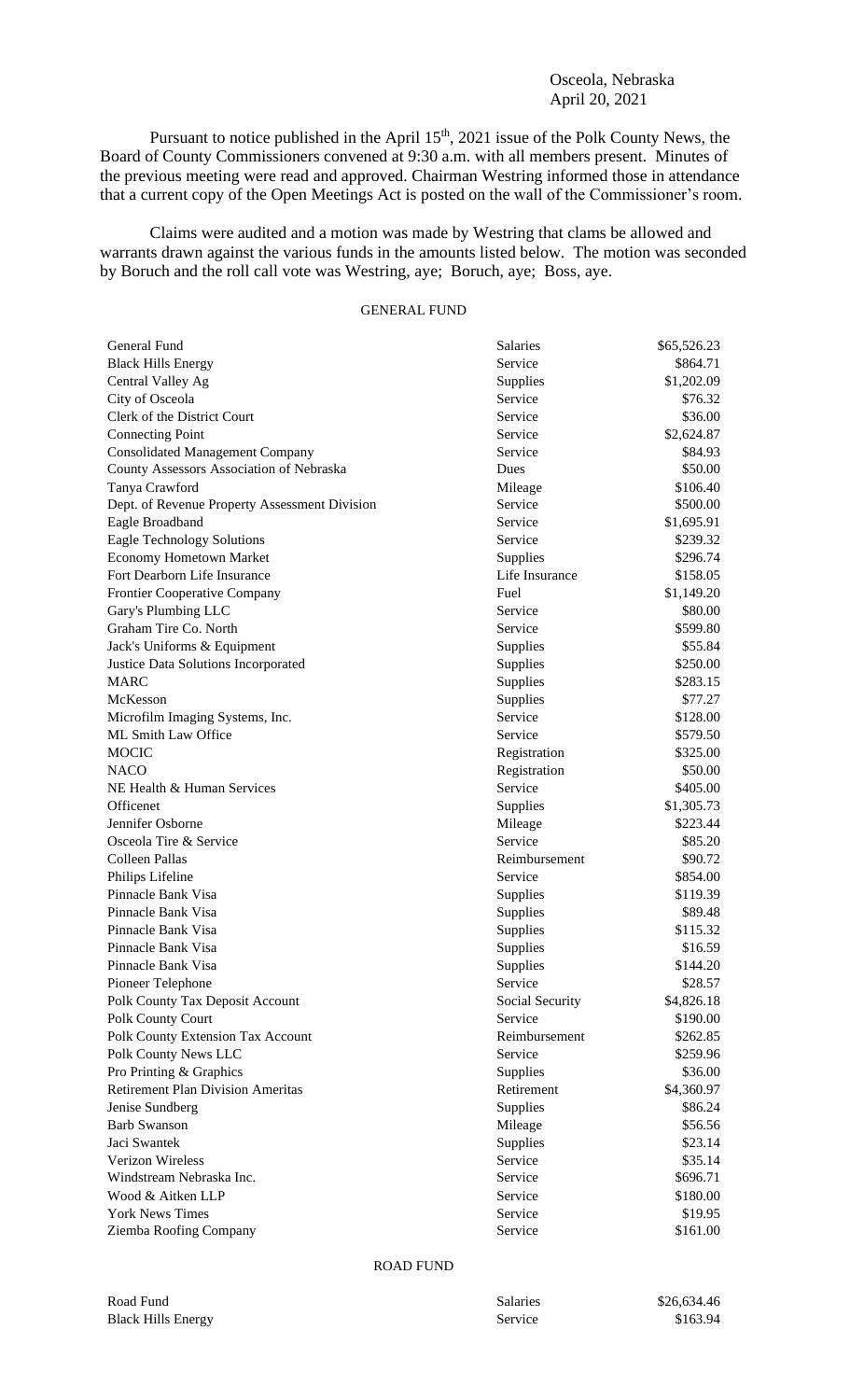## Osceola, Nebraska April 20, 2021

Pursuant to notice published in the April 15<sup>th</sup>, 2021 issue of the Polk County News, the Board of County Commissioners convened at 9:30 a.m. with all members present. Minutes of the previous meeting were read and approved. Chairman Westring informed those in attendance that a current copy of the Open Meetings Act is posted on the wall of the Commissioner's room.

Claims were audited and a motion was made by Westring that clams be allowed and warrants drawn against the various funds in the amounts listed below. The motion was seconded by Boruch and the roll call vote was Westring, aye; Boruch, aye; Boss, aye.

## GENERAL FUND

| General Fund                                  | Salaries        | \$65,526.23 |
|-----------------------------------------------|-----------------|-------------|
| <b>Black Hills Energy</b>                     | Service         | \$864.71    |
| Central Valley Ag                             | Supplies        | \$1,202.09  |
| City of Osceola                               | Service         | \$76.32     |
| Clerk of the District Court                   | Service         | \$36.00     |
| <b>Connecting Point</b>                       | Service         | \$2,624.87  |
| <b>Consolidated Management Company</b>        | Service         | \$84.93     |
| County Assessors Association of Nebraska      | Dues            | \$50.00     |
| Tanya Crawford                                | Mileage         | \$106.40    |
| Dept. of Revenue Property Assessment Division | Service         | \$500.00    |
| Eagle Broadband                               | Service         | \$1,695.91  |
| <b>Eagle Technology Solutions</b>             | Service         | \$239.32    |
| <b>Economy Hometown Market</b>                | Supplies        | \$296.74    |
| Fort Dearborn Life Insurance                  | Life Insurance  | \$158.05    |
| <b>Frontier Cooperative Company</b>           | Fuel            | \$1,149.20  |
| Gary's Plumbing LLC                           | Service         | \$80.00     |
| Graham Tire Co. North                         | Service         | \$599.80    |
| Jack's Uniforms & Equipment                   | Supplies        | \$55.84     |
| Justice Data Solutions Incorporated           | Supplies        | \$250.00    |
| <b>MARC</b>                                   | Supplies        | \$283.15    |
| McKesson                                      | Supplies        | \$77.27     |
| Microfilm Imaging Systems, Inc.               | Service         | \$128.00    |
| ML Smith Law Office                           | Service         | \$579.50    |
| <b>MOCIC</b>                                  | Registration    | \$325.00    |
| <b>NACO</b>                                   | Registration    | \$50.00     |
| NE Health & Human Services                    | Service         | \$405.00    |
| Officenet                                     | Supplies        | \$1,305.73  |
| Jennifer Osborne                              | Mileage         | \$223.44    |
| Osceola Tire & Service                        | Service         | \$85.20     |
| Colleen Pallas                                | Reimbursement   | \$90.72     |
| Philips Lifeline                              | Service         | \$854.00    |
| Pinnacle Bank Visa                            | Supplies        | \$119.39    |
| Pinnacle Bank Visa                            | Supplies        | \$89.48     |
| Pinnacle Bank Visa                            | Supplies        | \$115.32    |
| Pinnacle Bank Visa                            | Supplies        | \$16.59     |
| Pinnacle Bank Visa                            | Supplies        | \$144.20    |
| Pioneer Telephone                             | Service         | \$28.57     |
| Polk County Tax Deposit Account               | Social Security | \$4,826.18  |
| Polk County Court                             | Service         | \$190.00    |
| Polk County Extension Tax Account             | Reimbursement   | \$262.85    |
| Polk County News LLC                          | Service         | \$259.96    |
| Pro Printing & Graphics                       | Supplies        | \$36.00     |
| <b>Retirement Plan Division Ameritas</b>      | Retirement      | \$4,360.97  |
| Jenise Sundberg                               | Supplies        | \$86.24     |
| <b>Barb Swanson</b>                           | Mileage         | \$56.56     |
| Jaci Swantek                                  | Supplies        | \$23.14     |
| Verizon Wireless                              | Service         | \$35.14     |
| Windstream Nebraska Inc.                      | Service         | \$696.71    |
| Wood & Aitken LLP                             | Service         | \$180.00    |
| <b>York News Times</b>                        | Service         | \$19.95     |
| Ziemba Roofing Company                        | Service         | \$161.00    |
|                                               |                 |             |

## ROAD FUND

| Road Fund                 | Salaries | \$26,634.46 |
|---------------------------|----------|-------------|
| <b>Black Hills Energy</b> | Service  | \$163.94    |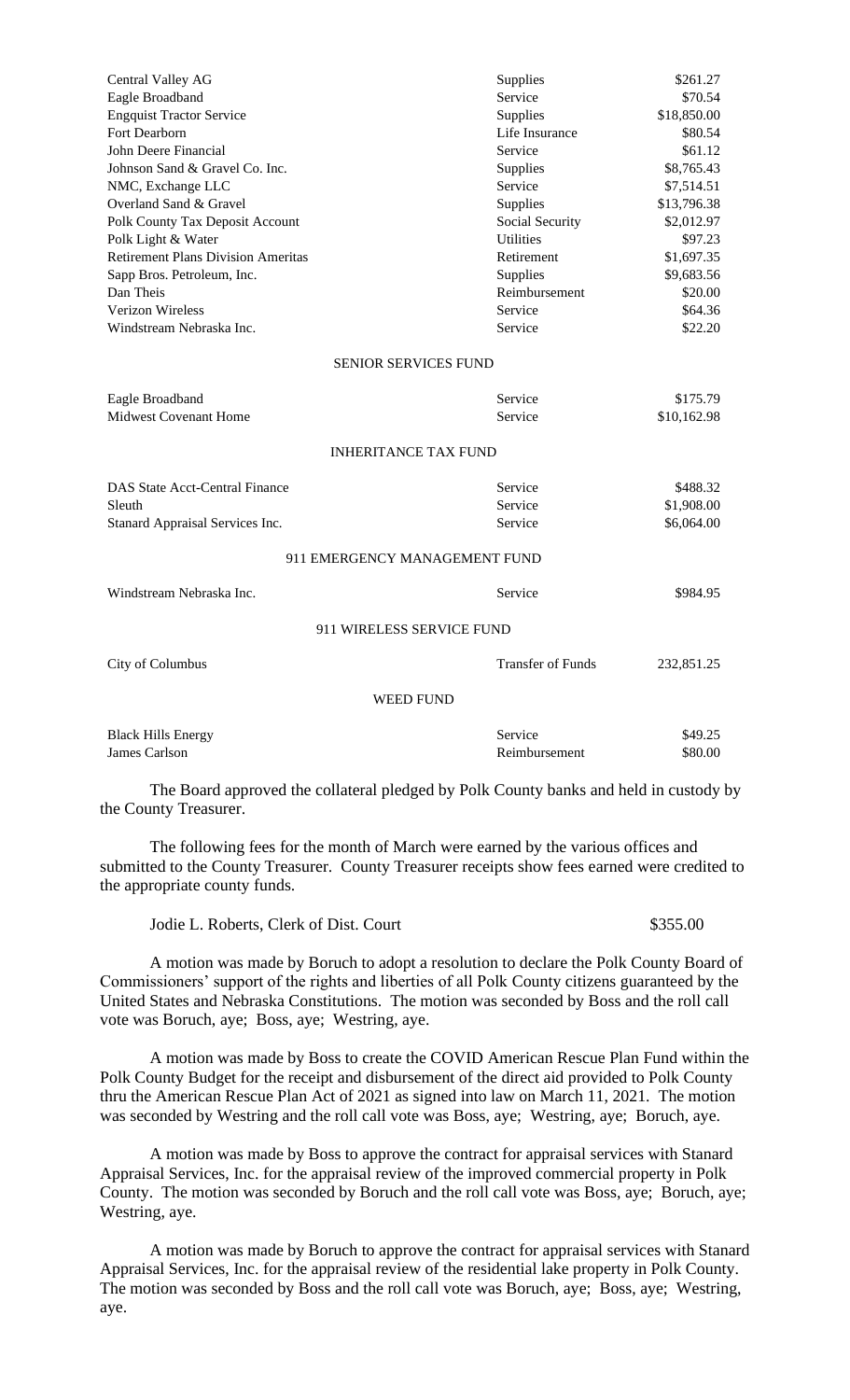| Central Valley AG                         | Supplies                 | \$261.27    |
|-------------------------------------------|--------------------------|-------------|
| Eagle Broadband                           | Service                  | \$70.54     |
| <b>Engquist Tractor Service</b>           | Supplies                 | \$18,850.00 |
| Fort Dearborn                             | Life Insurance           | \$80.54     |
| John Deere Financial                      | Service                  | \$61.12     |
| Johnson Sand & Gravel Co. Inc.            | Supplies                 | \$8,765.43  |
| NMC, Exchange LLC                         | Service                  | \$7,514.51  |
| Overland Sand & Gravel                    | Supplies                 | \$13,796.38 |
| Polk County Tax Deposit Account           | Social Security          | \$2,012.97  |
| Polk Light & Water                        | <b>Utilities</b>         | \$97.23     |
| <b>Retirement Plans Division Ameritas</b> | Retirement               | \$1,697.35  |
| Sapp Bros. Petroleum, Inc.                | Supplies                 | \$9,683.56  |
| Dan Theis                                 | Reimbursement            | \$20.00     |
| Verizon Wireless                          | Service                  | \$64.36     |
| Windstream Nebraska Inc.                  | Service                  | \$22.20     |
| <b>SENIOR SERVICES FUND</b>               |                          |             |
| Eagle Broadband                           | Service                  | \$175.79    |
| <b>Midwest Covenant Home</b>              | Service                  | \$10,162.98 |
| <b>INHERITANCE TAX FUND</b>               |                          |             |
| <b>DAS State Acct-Central Finance</b>     | Service                  | \$488.32    |
| Sleuth                                    | Service                  | \$1,908.00  |
| Stanard Appraisal Services Inc.           | Service                  | \$6,064.00  |
| 911 EMERGENCY MANAGEMENT FUND             |                          |             |
| Windstream Nebraska Inc.                  | Service                  | \$984.95    |
| 911 WIRELESS SERVICE FUND                 |                          |             |
| City of Columbus                          | <b>Transfer of Funds</b> | 232,851.25  |
|                                           |                          |             |
| <b>WEED FUND</b>                          |                          |             |
| <b>Black Hills Energy</b>                 | Service                  | \$49.25     |
| James Carlson                             | Reimbursement            | \$80.00     |

The Board approved the collateral pledged by Polk County banks and held in custody by the County Treasurer.

The following fees for the month of March were earned by the various offices and submitted to the County Treasurer. County Treasurer receipts show fees earned were credited to the appropriate county funds.

| Jodie L. Roberts, Clerk of Dist. Court | \$355.00 |
|----------------------------------------|----------|
|----------------------------------------|----------|

A motion was made by Boruch to adopt a resolution to declare the Polk County Board of Commissioners' support of the rights and liberties of all Polk County citizens guaranteed by the United States and Nebraska Constitutions. The motion was seconded by Boss and the roll call vote was Boruch, aye; Boss, aye; Westring, aye.

A motion was made by Boss to create the COVID American Rescue Plan Fund within the Polk County Budget for the receipt and disbursement of the direct aid provided to Polk County thru the American Rescue Plan Act of 2021 as signed into law on March 11, 2021. The motion was seconded by Westring and the roll call vote was Boss, aye; Westring, aye; Boruch, aye.

A motion was made by Boss to approve the contract for appraisal services with Stanard Appraisal Services, Inc. for the appraisal review of the improved commercial property in Polk County. The motion was seconded by Boruch and the roll call vote was Boss, aye; Boruch, aye; Westring, aye.

A motion was made by Boruch to approve the contract for appraisal services with Stanard Appraisal Services, Inc. for the appraisal review of the residential lake property in Polk County. The motion was seconded by Boss and the roll call vote was Boruch, aye; Boss, aye; Westring, aye.